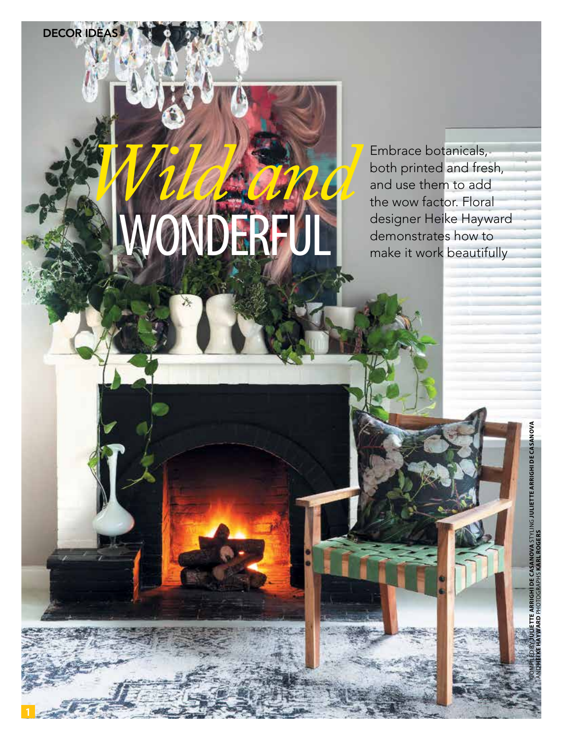# The WOW Tactor. Floral<br>designer Heike Hayward<br>demonstrates how to<br>make it work beautifully

 $\frac{1}{1}$  June 2019 | gardenandhome.com

**DECOR IDE** 

**Embrace botanicals, Embrace botanicals, both printed and free** both printed and fresh, and use them to add the wow factor. Floral designer Heike Hayward<br>demonstrates how to

COMPILED BY **JULIETTE ARRIGHI DE CASANOVA** STYLING **JULIETTE ARRIGHI DE CASANOVA**

**IOVA STYLING JULIETTE ARRIGHI DE CASA** 

AND **HEIKE HAYWARD** PHOTOGRAPHS **KARL ROGERS**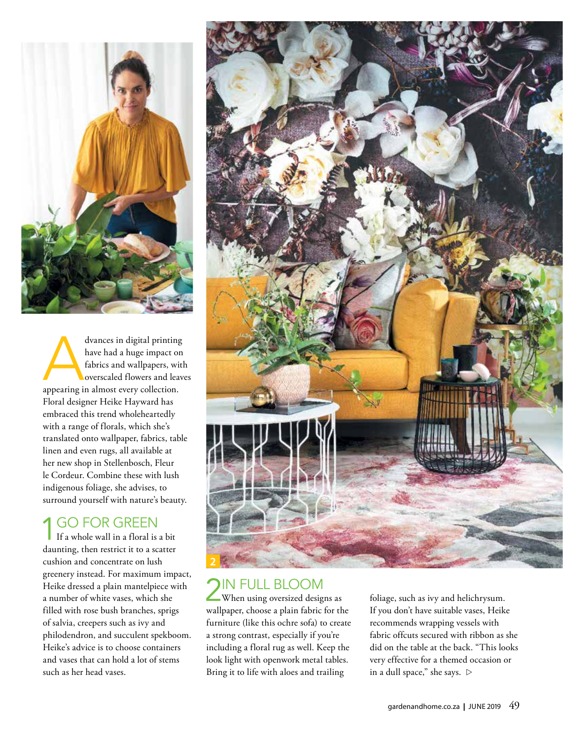

dvances in digital printing<br>have had a huge impact on<br>fabrics and wallpapers, with<br>overscaled flowers and leav have had a huge impact on fabrics and wallpapers, with overscaled flowers and leaves appearing in almost every collection. Floral designer Heike Hayward has embraced this trend wholeheartedly with a range of florals, which she's translated onto wallpaper, fabrics, table linen and even rugs, all available at her new shop in Stellenbosch, Fleur le Cordeur. Combine these with lush indigenous foliage, she advises, to surround yourself with nature's beauty.

### **1 GO FOR GREEN**

If a whole wall in a floral is a bit daunting, then restrict it to a scatter cushion and concentrate on lush greenery instead. For maximum impact, Heike dressed a plain mantelpiece with a number of white vases, which she filled with rose bush branches, sprigs of salvia, creepers such as ivy and philodendron, and succulent spekboom. Heike's advice is to choose containers and vases that can hold a lot of stems such as her head vases.



# 2IN FULL BLOOM

When using oversized designs as wallpaper, choose a plain fabric for the furniture (like this ochre sofa) to create a strong contrast, especially if you're including a floral rug as well. Keep the look light with openwork metal tables. Bring it to life with aloes and trailing

foliage, such as ivy and helichrysum. If you don't have suitable vases, Heike recommends wrapping vessels with fabric offcuts secured with ribbon as she did on the table at the back. "This looks very effective for a themed occasion or in a dull space," she says.  $\triangleright$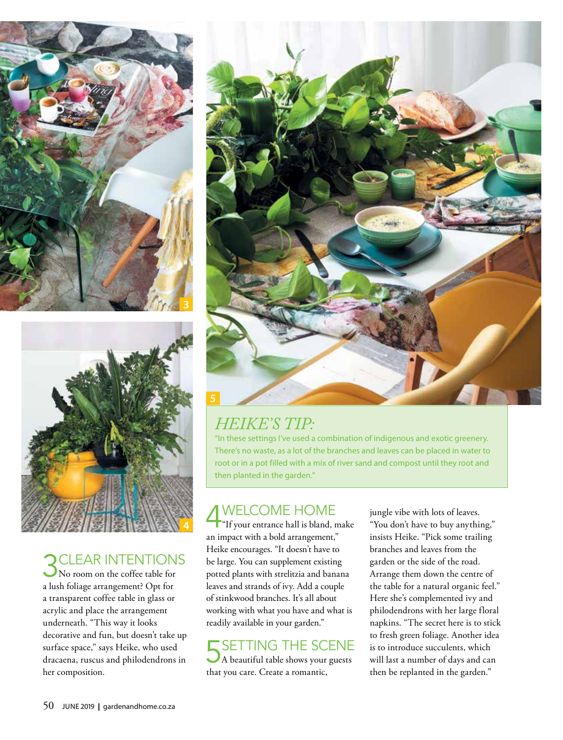



### **CLEAR INTENTIONS**

No room on the coffee table for a lush foliage arrangement? Opt for a transparent coffee table in glass or acrylic and place the arrangement underneath. "This way it looks decorative and fun, but doesn't take up surface space," says Heike, who used dracaena, ruscus and philodendrons in her composition.



# *HEIKE'S TIP:*

"In these settings I've used a combination of indigenous and exotic greenery. There's no waste, as a lot of the branches and leaves can be placed in water to root or in a pot filled with a mix of river sand and compost until they root and then planted in the garden."

# 4WELCOME HOME

**F**"If your entrance hall is bland, make an impact with a bold arrangement," Heike encourages. "It doesn't have to be large. You can supplement existing potted plants with strelitzia and banana leaves and strands of ivy. Add a couple of stinkwood branches. It's all about working with what you have and what is readily available in your garden."

## $\overline{\phantom{a}}$  SETTING THE SCENE

A beautiful table shows your guests that you care. Create a romantic,

jungle vibe with lots of leaves. "You don't have to buy anything," insists Heike. "Pick some trailing branches and leaves from the garden or the side of the road. Arrange them down the centre of the table for a natural organic feel." Here she's complemented ivy and philodendrons with her large floral napkins. "The secret here is to stick to fresh green foliage. Another idea is to introduce succulents, which will last a number of days and can then be replanted in the garden."